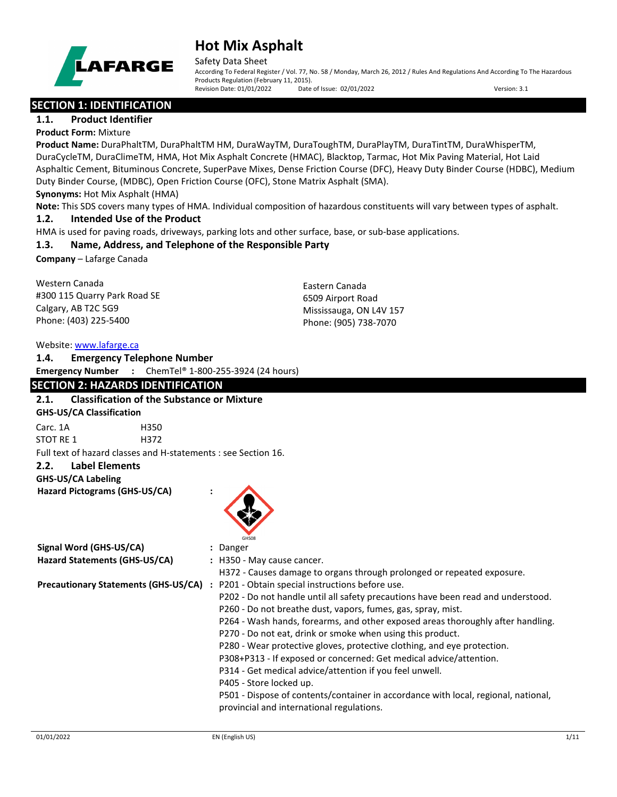

Safety Data Sheet

According To Federal Register / Vol. 77, No. 58 / Monday, March 26, 2012 / Rules And Regulations And According To The Hazardous Products Regulation (February 11, 2015). Revision Date: 01/01/2022 Date of Issue: 02/01/2022 Version: 3.1

# **SECTION 1: IDENTIFICATION**

# **1.1. Product Identifier**

**Product Form:** Mixture

**Product Name:** DuraPhaltTM, DuraPhaltTM HM, DuraWayTM, DuraToughTM, DuraPlayTM, DuraTintTM, DuraWhisperTM, DuraCycleTM, DuraClimeTM, HMA, Hot Mix Asphalt Concrete (HMAC), Blacktop, Tarmac, Hot Mix Paving Material, Hot Laid Asphaltic Cement, Bituminous Concrete, SuperPave Mixes, Dense Friction Course (DFC), Heavy Duty Binder Course (HDBC), Medium Duty Binder Course, (MDBC), Open Friction Course (OFC), Stone Matrix Asphalt (SMA).

**Synonyms:** Hot Mix Asphalt (HMA)

**Note:** This SDS covers many types of HMA. Individual composition of hazardous constituents will vary between types of asphalt.

### **1.2. Intended Use of the Product**

HMA is used for paving roads, driveways, parking lots and other surface, base, or sub-base applications.

# **1.3. Name, Address, and Telephone of the Responsible Party**

**Company** – Lafarge Canada

Western Canada #300 115 Quarry Park Road SE Calgary, AB T2C 5G9 Phone: (403) 225-5400

Eastern Canada 6509 Airport Road Mississauga, ON L4V 157 Phone: (905) 738-7070

#### Website: [www.lafarge.ca](file://leon/customers/CUSTOMERS/Lafarge_North_America_Inc/Projects/Authoring_20180316/Batch_Folder/B_Draft_SDS/MS_Word_Files/www.lafarge.ca)

| 1.4.      |                                 | <b>Emergency Telephone Number</b>                                        |
|-----------|---------------------------------|--------------------------------------------------------------------------|
|           |                                 | <b>Emergency Number</b> : ChemTel <sup>®</sup> 1-800-255-3924 (24 hours) |
|           |                                 | <b>SECTION 2: HAZARDS IDENTIFICATION</b>                                 |
| 2.1.      |                                 | <b>Classification of the Substance or Mixture</b>                        |
|           | <b>GHS-US/CA Classification</b> |                                                                          |
| Carc. 1A  |                                 | H350                                                                     |
| STOT RE 1 |                                 | H372                                                                     |
|           |                                 | Full text of hazard classes and H-statements : see Section 16.           |
| 2.2.      | <b>Label Elements</b>           |                                                                          |
|           |                                 |                                                                          |

**GHS-US/CA Labeling**

**Hazard Pictograms (GHS-US/CA) :**

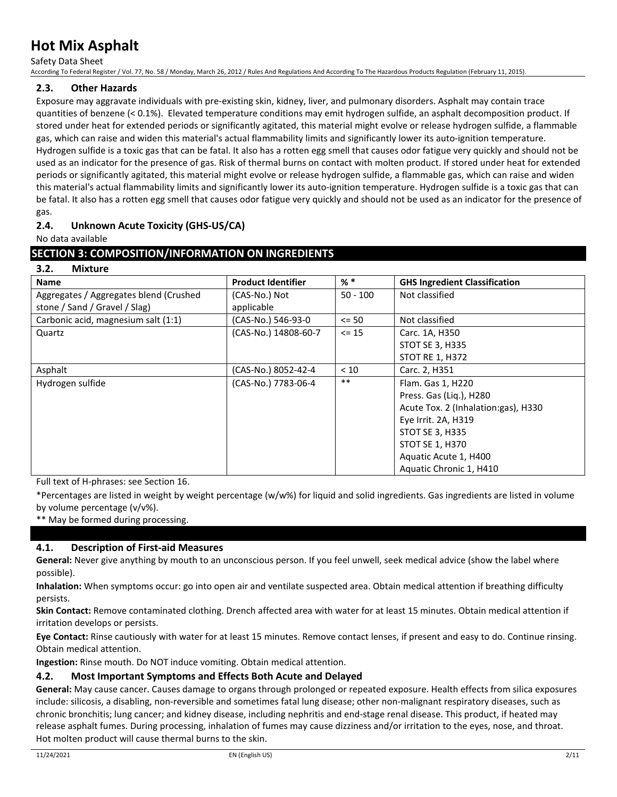Safety Data Sheet

According To Federal Register / Vol. 77, No. 58 / Monday, March 26, 2012 / Rules And Regulations And According To The Hazardous Products Regulation (February 11, 2015).

# **2.3. Other Hazards**

Exposure may aggravate individuals with pre-existing skin, kidney, liver, and pulmonary disorders. Asphalt may contain trace quantities of benzene (< 0.1%). Elevated temperature conditions may emit hydrogen sulfide, an asphalt decomposition product. If stored under heat for extended periods or significantly agitated, this material might evolve or release hydrogen sulfide, a flammable gas, which can raise and widen this material's actual flammability limits and significantly lower its auto-ignition temperature. Hydrogen sulfide is a toxic gas that can be fatal. It also has a rotten egg smell that causes odor fatigue very quickly and should not be used as an indicator for the presence of gas. Risk of thermal burns on contact with molten product. If stored under heat for extended periods or significantly agitated, this material might evolve or release hydrogen sulfide, a flammable gas, which can raise and widen this material's actual flammability limits and significantly lower its auto-ignition temperature. Hydrogen sulfide is a toxic gas that can be fatal. It also has a rotten egg smell that causes odor fatigue very quickly and should not be used as an indicator for the presence of gas.

# **2.4. Unknown Acute Toxicity (GHS-US/CA)**

No data available

**3.2. Mixture**

### **SECTION 3: COMPOSITION/INFORMATION ON INGREDIENTS**

| 3.Z.<br><u>iviixture</u>               |                           |            |                                      |
|----------------------------------------|---------------------------|------------|--------------------------------------|
| <b>Name</b>                            | <b>Product Identifier</b> | $%$ $*$    | <b>GHS Ingredient Classification</b> |
| Aggregates / Aggregates blend (Crushed | (CAS-No.) Not             | $50 - 100$ | Not classified                       |
| stone / Sand / Gravel / Slag)          | applicable                |            |                                      |
| Carbonic acid, magnesium salt (1:1)    | (CAS-No.) 546-93-0        | $\leq$ 50  | Not classified                       |
| Quartz                                 | (CAS-No.) 14808-60-7      | $\le$ 15   | Carc. 1A, H350                       |
|                                        |                           |            | <b>STOT SE 3, H335</b>               |
|                                        |                           |            | <b>STOT RE 1, H372</b>               |
| Asphalt                                | (CAS-No.) 8052-42-4       | < 10       | Carc. 2, H351                        |
| Hydrogen sulfide                       | (CAS-No.) 7783-06-4       | $***$      | Flam. Gas 1, H220                    |
|                                        |                           |            | Press. Gas (Lig.), H280              |
|                                        |                           |            | Acute Tox. 2 (Inhalation:gas), H330  |
|                                        |                           |            | Eye Irrit. 2A, H319                  |
|                                        |                           |            | <b>STOT SE 3, H335</b>               |
|                                        |                           |            | STOT SE 1, H370                      |
|                                        |                           |            | Aquatic Acute 1, H400                |
|                                        |                           |            | Aquatic Chronic 1, H410              |

Full text of H-phrases: see Section 16.

\*Percentages are listed in weight by weight percentage (w/w%) for liquid and solid ingredients. Gas ingredients are listed in volume by volume percentage (v/v%).

\*\* May be formed during processing.

# **4.1. Description of First-aid Measures**

**General:** Never give anything by mouth to an unconscious person. If you feel unwell, seek medical advice (show the label where possible).

**Inhalation:** When symptoms occur: go into open air and ventilate suspected area. Obtain medical attention if breathing difficulty persists.

**Skin Contact:** Remove contaminated clothing. Drench affected area with water for at least 15 minutes. Obtain medical attention if irritation develops or persists.

**Eye Contact:** Rinse cautiously with water for at least 15 minutes. Remove contact lenses, if present and easy to do. Continue rinsing. Obtain medical attention.

**Ingestion:** Rinse mouth. Do NOT induce vomiting. Obtain medical attention.

#### **4.2. Most Important Symptoms and Effects Both Acute and Delayed**

**General:** May cause cancer. Causes damage to organs through prolonged or repeated exposure. Health effects from silica exposures include: silicosis, a disabling, non-reversible and sometimes fatal lung disease; other non-malignant respiratory diseases, such as chronic bronchitis; lung cancer; and kidney disease, including nephritis and end-stage renal disease. This product, if heated may release asphalt fumes. During processing, inhalation of fumes may cause dizziness and/or irritation to the eyes, nose, and throat. Hot molten product will cause thermal burns to the skin.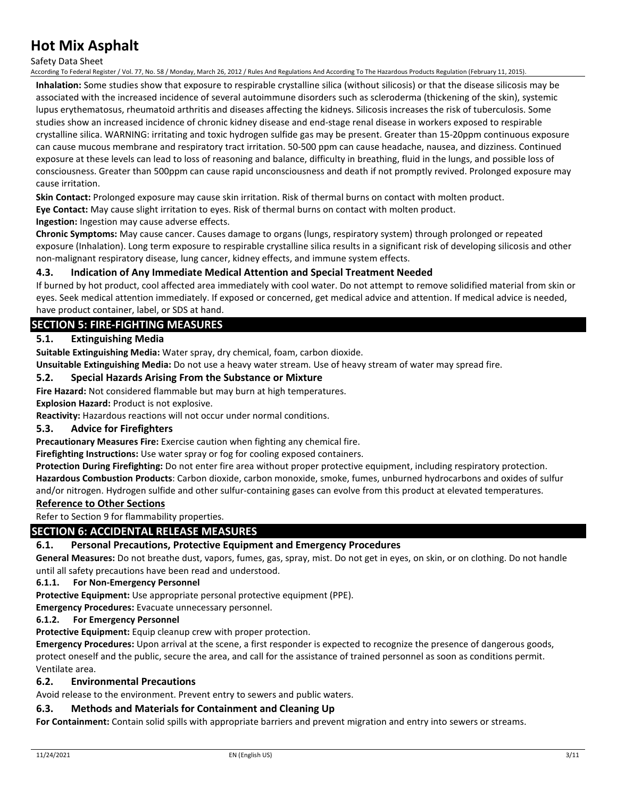Safety Data Sheet

According To Federal Register / Vol. 77, No. 58 / Monday, March 26, 2012 / Rules And Regulations And According To The Hazardous Products Regulation (February 11, 2015).

**Inhalation:** Some studies show that exposure to respirable crystalline silica (without silicosis) or that the disease silicosis may be associated with the increased incidence of several autoimmune disorders such as scleroderma (thickening of the skin), systemic lupus erythematosus, rheumatoid arthritis and diseases affecting the kidneys. Silicosis increases the risk of tuberculosis. Some studies show an increased incidence of chronic kidney disease and end-stage renal disease in workers exposed to respirable crystalline silica. WARNING: irritating and toxic hydrogen sulfide gas may be present. Greater than 15-20ppm continuous exposure can cause mucous membrane and respiratory tract irritation. 50-500 ppm can cause headache, nausea, and dizziness. Continued exposure at these levels can lead to loss of reasoning and balance, difficulty in breathing, fluid in the lungs, and possible loss of consciousness. Greater than 500ppm can cause rapid unconsciousness and death if not promptly revived. Prolonged exposure may cause irritation.

**Skin Contact:** Prolonged exposure may cause skin irritation. Risk of thermal burns on contact with molten product.

**Eye Contact:** May cause slight irritation to eyes. Risk of thermal burns on contact with molten product.

**Ingestion:** Ingestion may cause adverse effects.

**Chronic Symptoms:** May cause cancer. Causes damage to organs (lungs, respiratory system) through prolonged or repeated exposure (Inhalation). Long term exposure to respirable crystalline silica results in a significant risk of developing silicosis and other non-malignant respiratory disease, lung cancer, kidney effects, and immune system effects.

### **4.3. Indication of Any Immediate Medical Attention and Special Treatment Needed**

If burned by hot product, cool affected area immediately with cool water. Do not attempt to remove solidified material from skin or eyes. Seek medical attention immediately. If exposed or concerned, get medical advice and attention. If medical advice is needed, have product container, label, or SDS at hand.

# **SECTION 5: FIRE-FIGHTING MEASURES**

### **5.1. Extinguishing Media**

**Suitable Extinguishing Media:** Water spray, dry chemical, foam, carbon dioxide.

**Unsuitable Extinguishing Media:** Do not use a heavy water stream. Use of heavy stream of water may spread fire.

#### **5.2. Special Hazards Arising From the Substance or Mixture**

**Fire Hazard:** Not considered flammable but may burn at high temperatures.

**Explosion Hazard:** Product is not explosive.

**Reactivity:** Hazardous reactions will not occur under normal conditions.

#### **5.3. Advice for Firefighters**

**Precautionary Measures Fire:** Exercise caution when fighting any chemical fire.

**Firefighting Instructions:** Use water spray or fog for cooling exposed containers.

**Protection During Firefighting:** Do not enter fire area without proper protective equipment, including respiratory protection. **Hazardous Combustion Products**: Carbon dioxide, carbon monoxide, smoke, fumes, unburned hydrocarbons and oxides of sulfur and/or nitrogen. Hydrogen sulfide and other sulfur-containing gases can evolve from this product at elevated temperatures.

#### **Reference to Other Sections**

Refer to Section 9 for flammability properties.

# **SECTION 6: ACCIDENTAL RELEASE MEASURES**

#### **6.1. Personal Precautions, Protective Equipment and Emergency Procedures**

**General Measures:** Do not breathe dust, vapors, fumes, gas, spray, mist. Do not get in eyes, on skin, or on clothing. Do not handle until all safety precautions have been read and understood.

#### **6.1.1. For Non-Emergency Personnel**

**Protective Equipment:** Use appropriate personal protective equipment (PPE).

**Emergency Procedures:** Evacuate unnecessary personnel.

#### **6.1.2. For Emergency Personnel**

**Protective Equipment:** Equip cleanup crew with proper protection.

**Emergency Procedures:** Upon arrival at the scene, a first responder is expected to recognize the presence of dangerous goods, protect oneself and the public, secure the area, and call for the assistance of trained personnel as soon as conditions permit. Ventilate area.

#### **6.2. Environmental Precautions**

Avoid release to the environment. Prevent entry to sewers and public waters.

#### **6.3. Methods and Materials for Containment and Cleaning Up**

**For Containment:** Contain solid spills with appropriate barriers and prevent migration and entry into sewers or streams.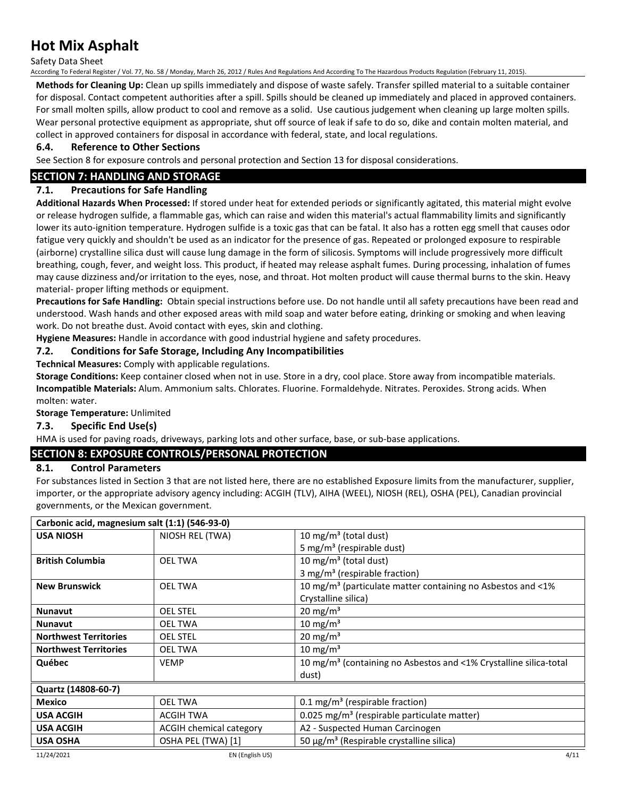Safety Data Sheet

According To Federal Register / Vol. 77, No. 58 / Monday, March 26, 2012 / Rules And Regulations And According To The Hazardous Products Regulation (February 11, 2015).

**Methods for Cleaning Up:** Clean up spills immediately and dispose of waste safely. Transfer spilled material to a suitable container for disposal. Contact competent authorities after a spill. Spills should be cleaned up immediately and placed in approved containers. For small molten spills, allow product to cool and remove as a solid. Use cautious judgement when cleaning up large molten spills. Wear personal protective equipment as appropriate, shut off source of leak if safe to do so, dike and contain molten material, and collect in approved containers for disposal in accordance with federal, state, and local regulations.

### **6.4. Reference to Other Sections**

See Section 8 for exposure controls and personal protection and Section 13 for disposal considerations.

# **SECTION 7: HANDLING AND STORAGE**

# **7.1. Precautions for Safe Handling**

**Additional Hazards When Processed:** If stored under heat for extended periods or significantly agitated, this material might evolve or release hydrogen sulfide, a flammable gas, which can raise and widen this material's actual flammability limits and significantly lower its auto-ignition temperature. Hydrogen sulfide is a toxic gas that can be fatal. It also has a rotten egg smell that causes odor fatigue very quickly and shouldn't be used as an indicator for the presence of gas. Repeated or prolonged exposure to respirable (airborne) crystalline silica dust will cause lung damage in the form of silicosis. Symptoms will include progressively more difficult breathing, cough, fever, and weight loss. This product, if heated may release asphalt fumes. During processing, inhalation of fumes may cause dizziness and/or irritation to the eyes, nose, and throat. Hot molten product will cause thermal burns to the skin. Heavy material- proper lifting methods or equipment.

**Precautions for Safe Handling:** Obtain special instructions before use. Do not handle until all safety precautions have been read and understood. Wash hands and other exposed areas with mild soap and water before eating, drinking or smoking and when leaving work. Do not breathe dust. Avoid contact with eyes, skin and clothing.

**Hygiene Measures:** Handle in accordance with good industrial hygiene and safety procedures.

# **7.2. Conditions for Safe Storage, Including Any Incompatibilities**

**Technical Measures:** Comply with applicable regulations.

**Storage Conditions:** Keep container closed when not in use. Store in a dry, cool place. Store away from incompatible materials. **Incompatible Materials:** Alum. Ammonium salts. Chlorates. Fluorine. Formaldehyde. Nitrates. Peroxides. Strong acids. When molten: water.

**Storage Temperature:** Unlimited

# **7.3. Specific End Use(s)**

HMA is used for paving roads, driveways, parking lots and other surface, base, or sub-base applications.

# **SECTION 8: EXPOSURE CONTROLS/PERSONAL PROTECTION**

# **8.1. Control Parameters**

For substances listed in Section 3 that are not listed here, there are no established Exposure limits from the manufacturer, supplier, importer, or the appropriate advisory agency including: ACGIH (TLV), AIHA (WEEL), NIOSH (REL), OSHA (PEL), Canadian provincial governments, or the Mexican government.

| Carbonic acid, magnesium salt (1:1) (546-93-0) |                         |                                                                                |
|------------------------------------------------|-------------------------|--------------------------------------------------------------------------------|
| <b>USA NIOSH</b>                               | NIOSH REL (TWA)         | 10 mg/m <sup>3</sup> (total dust)                                              |
|                                                |                         | 5 mg/m <sup>3</sup> (respirable dust)                                          |
| <b>British Columbia</b>                        | <b>OEL TWA</b>          | 10 mg/m <sup>3</sup> (total dust)                                              |
|                                                |                         | 3 mg/m <sup>3</sup> (respirable fraction)                                      |
| <b>New Brunswick</b>                           | <b>OEL TWA</b>          | 10 mg/m <sup>3</sup> (particulate matter containing no Asbestos and $\leq 1\%$ |
|                                                |                         | Crystalline silica)                                                            |
| <b>Nunavut</b>                                 | <b>OEL STEL</b>         | 20 mg/m <sup>3</sup>                                                           |
| <b>Nunavut</b>                                 | <b>OEL TWA</b>          | 10 mg/m <sup>3</sup>                                                           |
| <b>Northwest Territories</b>                   | <b>OEL STEL</b>         | 20 mg/m <sup>3</sup>                                                           |
| <b>Northwest Territories</b>                   | <b>OEL TWA</b>          | 10 mg/m $3$                                                                    |
| Québec                                         | <b>VEMP</b>             | 10 mg/m <sup>3</sup> (containing no Asbestos and <1% Crystalline silica-total  |
|                                                |                         | dust)                                                                          |
| Quartz (14808-60-7)                            |                         |                                                                                |
| <b>Mexico</b>                                  | <b>OEL TWA</b>          | $0.1 \,\mathrm{mg/m^3}$ (respirable fraction)                                  |
| <b>USA ACGIH</b>                               | <b>ACGIH TWA</b>        | 0.025 mg/m <sup>3</sup> (respirable particulate matter)                        |
| <b>USA ACGIH</b>                               | ACGIH chemical category | A2 - Suspected Human Carcinogen                                                |
| <b>USA OSHA</b>                                | OSHA PEL (TWA) [1]      | 50 $\mu$ g/m <sup>3</sup> (Respirable crystalline silica)                      |
| 11/24/2021                                     | EN (English US)         | 4/11                                                                           |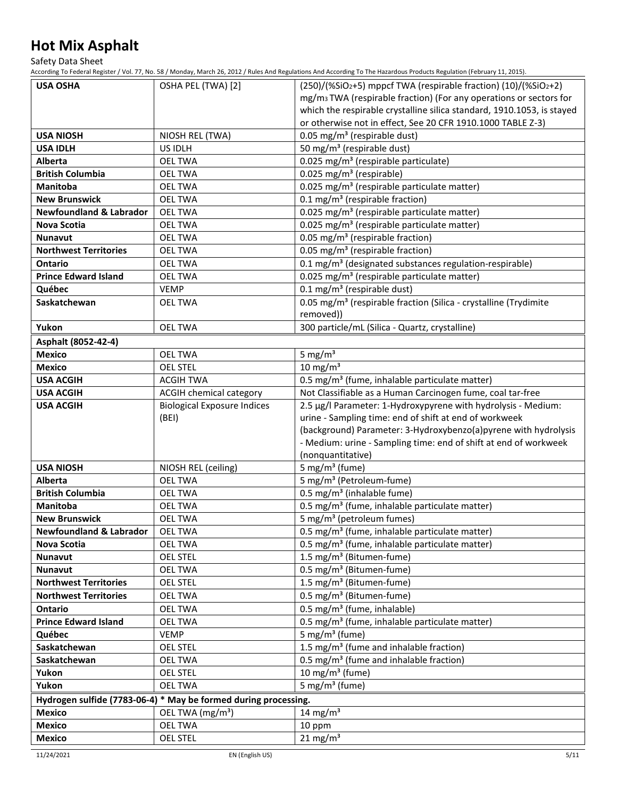Safety Data Sheet

According To Federal Register / Vol. 77, No. 58 / Monday, March 26, 2012 / Rules And Regulations And According To The Hazardous Products Regulation (February 11, 2015).

| <b>USA OSHA</b>                    | OSHA PEL (TWA) [2]                                              | (250)/(%SiO2+5) mppcf TWA (respirable fraction) (10)/(%SiO2+2)                                        |
|------------------------------------|-----------------------------------------------------------------|-------------------------------------------------------------------------------------------------------|
|                                    |                                                                 | mg/m <sub>3</sub> TWA (respirable fraction) (For any operations or sectors for                        |
|                                    |                                                                 | which the respirable crystalline silica standard, 1910.1053, is stayed                                |
|                                    |                                                                 | or otherwise not in effect, See 20 CFR 1910.1000 TABLE Z-3)                                           |
| <b>USA NIOSH</b>                   | NIOSH REL (TWA)                                                 | 0.05 mg/m <sup>3</sup> (respirable dust)                                                              |
| <b>USA IDLH</b>                    | US IDLH                                                         | 50 mg/m <sup>3</sup> (respirable dust)                                                                |
| Alberta                            | <b>OEL TWA</b>                                                  | 0.025 mg/m <sup>3</sup> (respirable particulate)                                                      |
| <b>British Columbia</b>            | <b>OEL TWA</b>                                                  | 0.025 mg/m <sup>3</sup> (respirable)                                                                  |
| <b>Manitoba</b>                    | <b>OEL TWA</b>                                                  | 0.025 mg/m <sup>3</sup> (respirable particulate matter)                                               |
| <b>New Brunswick</b>               | <b>OEL TWA</b>                                                  | 0.1 mg/m <sup>3</sup> (respirable fraction)                                                           |
| <b>Newfoundland &amp; Labrador</b> | <b>OEL TWA</b>                                                  | 0.025 mg/m <sup>3</sup> (respirable particulate matter)                                               |
| Nova Scotia                        | <b>OEL TWA</b>                                                  | 0.025 mg/m <sup>3</sup> (respirable particulate matter)                                               |
| <b>Nunavut</b>                     | <b>OEL TWA</b>                                                  | 0.05 mg/m <sup>3</sup> (respirable fraction)                                                          |
| <b>Northwest Territories</b>       | <b>OEL TWA</b>                                                  | 0.05 mg/m <sup>3</sup> (respirable fraction)                                                          |
| <b>Ontario</b>                     | <b>OEL TWA</b>                                                  | 0.1 mg/m <sup>3</sup> (designated substances regulation-respirable)                                   |
| <b>Prince Edward Island</b>        | <b>OEL TWA</b>                                                  | 0.025 mg/m <sup>3</sup> (respirable particulate matter)                                               |
| Québec                             | <b>VEMP</b>                                                     | 0.1 mg/m <sup>3</sup> (respirable dust)                                                               |
| Saskatchewan                       | <b>OEL TWA</b>                                                  | 0.05 mg/m <sup>3</sup> (respirable fraction (Silica - crystalline (Trydimite                          |
|                                    |                                                                 | removed))                                                                                             |
| Yukon                              | <b>OEL TWA</b>                                                  | 300 particle/mL (Silica - Quartz, crystalline)                                                        |
| Asphalt (8052-42-4)                |                                                                 |                                                                                                       |
| <b>Mexico</b>                      | <b>OEL TWA</b>                                                  | 5 mg/ $m3$                                                                                            |
| <b>Mexico</b>                      | <b>OEL STEL</b>                                                 | $10 \text{ mg/m}^3$                                                                                   |
| <b>USA ACGIH</b>                   | <b>ACGIH TWA</b>                                                | 0.5 mg/m <sup>3</sup> (fume, inhalable particulate matter)                                            |
| <b>USA ACGIH</b>                   | ACGIH chemical category                                         | Not Classifiable as a Human Carcinogen fume, coal tar-free                                            |
| <b>USA ACGIH</b>                   | <b>Biological Exposure Indices</b>                              | 2.5 µg/l Parameter: 1-Hydroxypyrene with hydrolysis - Medium:                                         |
|                                    | (BEI)                                                           | urine - Sampling time: end of shift at end of workweek                                                |
|                                    |                                                                 | (background) Parameter: 3-Hydroxybenzo(a)pyrene with hydrolysis                                       |
|                                    |                                                                 |                                                                                                       |
|                                    |                                                                 |                                                                                                       |
|                                    |                                                                 | - Medium: urine - Sampling time: end of shift at end of workweek                                      |
| <b>USA NIOSH</b>                   | NIOSH REL (ceiling)                                             | (nonquantitative)<br>5 mg/m <sup>3</sup> (fume)                                                       |
| <b>Alberta</b>                     | <b>OEL TWA</b>                                                  | 5 mg/m <sup>3</sup> (Petroleum-fume)                                                                  |
| <b>British Columbia</b>            | <b>OEL TWA</b>                                                  | 0.5 mg/m <sup>3</sup> (inhalable fume)                                                                |
| <b>Manitoba</b>                    | <b>OEL TWA</b>                                                  | 0.5 mg/m <sup>3</sup> (fume, inhalable particulate matter)                                            |
| <b>New Brunswick</b>               | <b>OEL TWA</b>                                                  | 5 mg/m <sup>3</sup> (petroleum fumes)                                                                 |
| <b>Newfoundland &amp; Labrador</b> | OEL TWA                                                         | 0.5 mg/m <sup>3</sup> (fume, inhalable particulate matter)                                            |
| Nova Scotia                        | <b>OEL TWA</b>                                                  | 0.5 mg/m <sup>3</sup> (fume, inhalable particulate matter)                                            |
| <b>Nunavut</b>                     | <b>OEL STEL</b>                                                 | 1.5 mg/m <sup>3</sup> (Bitumen-fume)                                                                  |
| <b>Nunavut</b>                     | <b>OEL TWA</b>                                                  | 0.5 mg/m <sup>3</sup> (Bitumen-fume)                                                                  |
| <b>Northwest Territories</b>       | <b>OEL STEL</b>                                                 |                                                                                                       |
| <b>Northwest Territories</b>       | <b>OEL TWA</b>                                                  | 1.5 mg/m <sup>3</sup> (Bitumen-fume)<br>0.5 mg/m <sup>3</sup> (Bitumen-fume)                          |
| Ontario                            | <b>OEL TWA</b>                                                  |                                                                                                       |
| <b>Prince Edward Island</b>        | <b>OEL TWA</b>                                                  | 0.5 mg/m <sup>3</sup> (fume, inhalable)<br>0.5 mg/m <sup>3</sup> (fume, inhalable particulate matter) |
| Québec                             | <b>VEMP</b>                                                     | 5 mg/m <sup>3</sup> (fume)                                                                            |
| Saskatchewan                       | <b>OEL STEL</b>                                                 | 1.5 mg/m <sup>3</sup> (fume and inhalable fraction)                                                   |
| Saskatchewan                       | <b>OEL TWA</b>                                                  |                                                                                                       |
| Yukon                              | <b>OEL STEL</b>                                                 | 0.5 mg/m <sup>3</sup> (fume and inhalable fraction)                                                   |
| Yukon                              | <b>OEL TWA</b>                                                  | 10 mg/m $3$ (fume)<br>5 mg/m <sup>3</sup> (fume)                                                      |
|                                    |                                                                 |                                                                                                       |
|                                    | Hydrogen sulfide (7783-06-4) * May be formed during processing. |                                                                                                       |
| <b>Mexico</b>                      | OEL TWA $(mg/m3)$                                               | 14 mg/m <sup>3</sup>                                                                                  |
| <b>Mexico</b><br><b>Mexico</b>     | <b>OEL TWA</b><br><b>OEL STEL</b>                               | 10 ppm<br>$21 \text{ mg/m}^3$                                                                         |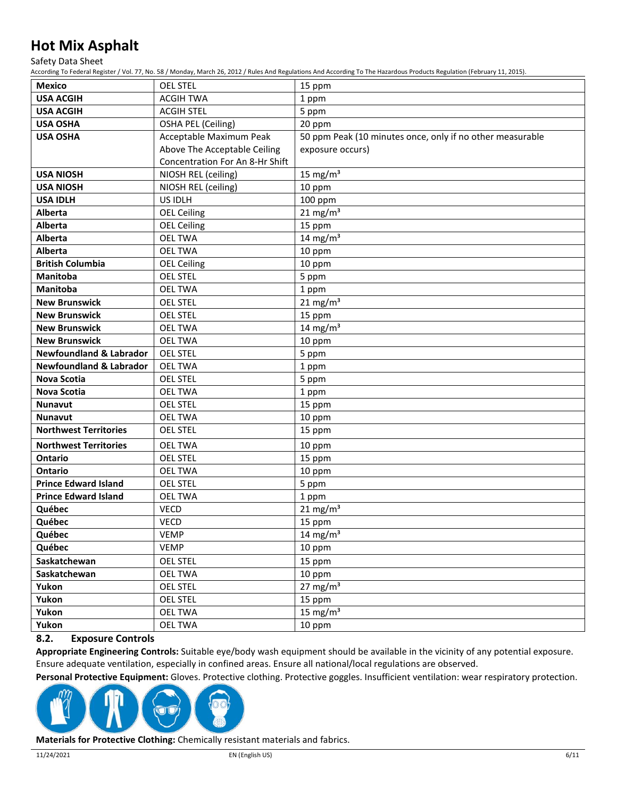Safety Data Sheet

According To Federal Register / Vol. 77, No. 58 / Monday, March 26, 2012 / Rules And Regulations And According To The Hazardous Products Regulation (February 11, 2015).

| <b>Mexico</b>                      | <b>OEL STEL</b>                 | 15 ppm                                                    |
|------------------------------------|---------------------------------|-----------------------------------------------------------|
| <b>USA ACGIH</b>                   | <b>ACGIH TWA</b>                | 1 ppm                                                     |
| <b>USA ACGIH</b>                   | <b>ACGIH STEL</b>               | 5 ppm                                                     |
| <b>USA OSHA</b>                    | OSHA PEL (Ceiling)              | 20 ppm                                                    |
| <b>USA OSHA</b>                    | Acceptable Maximum Peak         | 50 ppm Peak (10 minutes once, only if no other measurable |
|                                    | Above The Acceptable Ceiling    | exposure occurs)                                          |
|                                    | Concentration For An 8-Hr Shift |                                                           |
| <b>USA NIOSH</b>                   | NIOSH REL (ceiling)             | 15 mg/ $m3$                                               |
| <b>USA NIOSH</b>                   | NIOSH REL (ceiling)             | 10 ppm                                                    |
| <b>USA IDLH</b>                    | US IDLH                         | $100$ ppm                                                 |
| Alberta                            | <b>OEL Ceiling</b>              | $21 \text{ mg/m}^3$                                       |
| Alberta                            | <b>OEL Ceiling</b>              | 15 ppm                                                    |
| Alberta                            | <b>OEL TWA</b>                  | 14 mg/m $3$                                               |
| Alberta                            | <b>OEL TWA</b>                  | 10 ppm                                                    |
| <b>British Columbia</b>            | <b>OEL Ceiling</b>              | 10 ppm                                                    |
| <b>Manitoba</b>                    | <b>OEL STEL</b>                 | 5 ppm                                                     |
| <b>Manitoba</b>                    | <b>OEL TWA</b>                  | 1 ppm                                                     |
| <b>New Brunswick</b>               | <b>OEL STEL</b>                 | $21 \text{ mg/m}^3$                                       |
| <b>New Brunswick</b>               | <b>OEL STEL</b>                 | 15 ppm                                                    |
| <b>New Brunswick</b>               | <b>OEL TWA</b>                  | 14 mg/m $3$                                               |
| <b>New Brunswick</b>               | <b>OEL TWA</b>                  | 10 ppm                                                    |
| <b>Newfoundland &amp; Labrador</b> | <b>OEL STEL</b>                 | 5 ppm                                                     |
| <b>Newfoundland &amp; Labrador</b> | <b>OEL TWA</b>                  | 1 ppm                                                     |
| <b>Nova Scotia</b>                 | <b>OEL STEL</b>                 | 5 ppm                                                     |
| <b>Nova Scotia</b>                 | <b>OEL TWA</b>                  | 1 ppm                                                     |
| <b>Nunavut</b>                     | <b>OEL STEL</b>                 | 15 ppm                                                    |
| <b>Nunavut</b>                     | <b>OEL TWA</b>                  | 10 ppm                                                    |
| <b>Northwest Territories</b>       | <b>OEL STEL</b>                 | 15 ppm                                                    |
| <b>Northwest Territories</b>       | <b>OEL TWA</b>                  | 10 ppm                                                    |
| Ontario                            | <b>OEL STEL</b>                 | 15 ppm                                                    |
| Ontario                            | <b>OEL TWA</b>                  | 10 ppm                                                    |
| <b>Prince Edward Island</b>        | <b>OEL STEL</b>                 | 5 ppm                                                     |
| <b>Prince Edward Island</b>        | <b>OEL TWA</b>                  | 1 ppm                                                     |
| Québec                             | <b>VECD</b>                     | $21 \text{ mg/m}^3$                                       |
| Québec                             | <b>VECD</b>                     | 15 ppm                                                    |
| Québec                             | <b>VEMP</b>                     | 14 mg/m $3$                                               |
| Québec                             | <b>VEMP</b>                     | 10 ppm                                                    |
| Saskatchewan                       | <b>OEL STEL</b>                 | 15 ppm                                                    |
| Saskatchewan                       | <b>OEL TWA</b>                  | 10 ppm                                                    |
| Yukon                              | <b>OEL STEL</b>                 | $27 \text{ mg/m}^3$                                       |
| Yukon                              | <b>OEL STEL</b>                 | 15 ppm                                                    |
| Yukon                              | <b>OEL TWA</b>                  | 15 mg/ $m3$                                               |
| Yukon                              | <b>OEL TWA</b>                  | 10 ppm                                                    |

## **8.2. Exposure Controls**

**Appropriate Engineering Controls:** Suitable eye/body wash equipment should be available in the vicinity of any potential exposure. Ensure adequate ventilation, especially in confined areas. Ensure all national/local regulations are observed.

**Personal Protective Equipment:** Gloves. Protective clothing. Protective goggles. Insufficient ventilation: wear respiratory protection.



**Materials for Protective Clothing:** Chemically resistant materials and fabrics.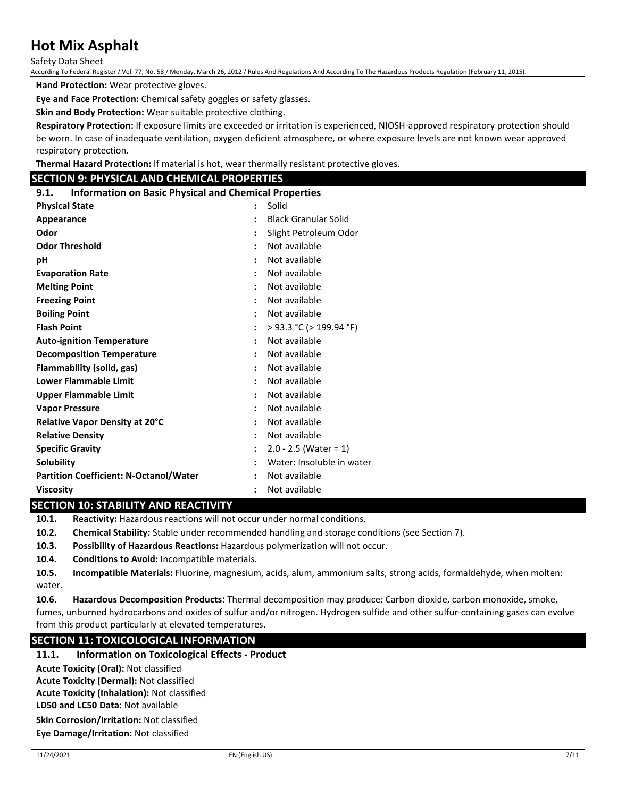Safety Data Sheet

According To Federal Register / Vol. 77, No. 58 / Monday, March 26, 2012 / Rules And Regulations And According To The Hazardous Products Regulation (February 11, 2015).

**Hand Protection:** Wear protective gloves.

**Eye and Face Protection:** Chemical safety goggles or safety glasses.

**Skin and Body Protection:** Wear suitable protective clothing.

**Respiratory Protection:** If exposure limits are exceeded or irritation is experienced, NIOSH-approved respiratory protection should be worn. In case of inadequate ventilation, oxygen deficient atmosphere, or where exposure levels are not known wear approved respiratory protection.

**Thermal Hazard Protection:** If material is hot, wear thermally resistant protective gloves.

### **SECTION 9: PHYSICAL AND CHEMICAL PROPERTIES**

**9.1. Information on Basic Physical and Chemical Properties**

| <b>Physical State</b>                         | $\bullet$            | Solid                       |
|-----------------------------------------------|----------------------|-----------------------------|
| Appearance                                    |                      | <b>Black Granular Solid</b> |
| Odor                                          |                      | Slight Petroleum Odor       |
| <b>Odor Threshold</b>                         | $\ddot{\phantom{a}}$ | Not available               |
| рH                                            | ÷                    | Not available               |
| <b>Evaporation Rate</b>                       |                      | Not available               |
| <b>Melting Point</b>                          | $\ddot{\phantom{a}}$ | Not available               |
| <b>Freezing Point</b>                         |                      | Not available               |
| <b>Boiling Point</b>                          | $\ddot{\phantom{a}}$ | Not available               |
| <b>Flash Point</b>                            |                      | > 93.3 °C (> 199.94 °F)     |
| <b>Auto-ignition Temperature</b>              | $\ddot{\phantom{a}}$ | Not available               |
| <b>Decomposition Temperature</b>              |                      | Not available               |
| Flammability (solid, gas)                     |                      | Not available               |
| <b>Lower Flammable Limit</b>                  | $\ddot{\phantom{a}}$ | Not available               |
| <b>Upper Flammable Limit</b>                  |                      | Not available               |
| <b>Vapor Pressure</b>                         | ÷                    | Not available               |
| Relative Vapor Density at 20°C                |                      | Not available               |
| <b>Relative Density</b>                       | $\ddot{\phantom{a}}$ | Not available               |
| <b>Specific Gravity</b>                       |                      | $2.0 - 2.5$ (Water = 1)     |
| <b>Solubility</b>                             |                      | Water: Insoluble in water   |
| <b>Partition Coefficient: N-Octanol/Water</b> | $\ddot{\phantom{a}}$ | Not available               |
| <b>Viscosity</b>                              |                      | Not available               |

#### **SECTION 10: STABILITY AND REACTIVITY**

**10.1. Reactivity:** Hazardous reactions will not occur under normal conditions.

**10.2. Chemical Stability:** Stable under recommended handling and storage conditions (see Section 7).

**10.3. Possibility of Hazardous Reactions:** Hazardous polymerization will not occur.

**10.4. Conditions to Avoid:** Incompatible materials.

**10.5. Incompatible Materials:** Fluorine, magnesium, acids, alum, ammonium salts, strong acids, formaldehyde, when molten: water.

**10.6. Hazardous Decomposition Products:** Thermal decomposition may produce: Carbon dioxide, carbon monoxide, smoke, fumes, unburned hydrocarbons and oxides of sulfur and/or nitrogen. Hydrogen sulfide and other sulfur-containing gases can evolve from this product particularly at elevated temperatures.

# **SECTION 11: TOXICOLOGICAL INFORMATION**

#### **11.1. Information on Toxicological Effects - Product**

**LD50 and LC50 Data:** Not available **Acute Toxicity (Oral):** Not classified **Acute Toxicity (Dermal):** Not classified **Acute Toxicity (Inhalation):** Not classified

**Skin Corrosion/Irritation:** Not classified **Eye Damage/Irritation:** Not classified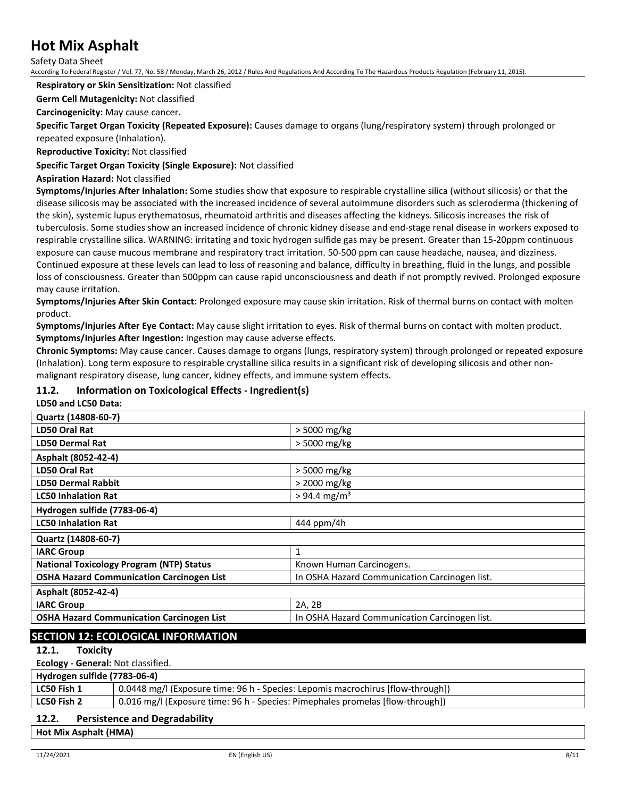Safety Data Sheet

According To Federal Register / Vol. 77, No. 58 / Monday, March 26, 2012 / Rules And Regulations And According To The Hazardous Products Regulation (February 11, 2015).

#### **Respiratory or Skin Sensitization:** Not classified

**Germ Cell Mutagenicity:** Not classified

**Carcinogenicity:** May cause cancer.

**Specific Target Organ Toxicity (Repeated Exposure):** Causes damage to organs (lung/respiratory system) through prolonged or repeated exposure (Inhalation).

**Reproductive Toxicity:** Not classified

**Specific Target Organ Toxicity (Single Exposure):** Not classified

#### **Aspiration Hazard:** Not classified

**Symptoms/Injuries After Inhalation:** Some studies show that exposure to respirable crystalline silica (without silicosis) or that the disease silicosis may be associated with the increased incidence of several autoimmune disorders such as scleroderma (thickening of the skin), systemic lupus erythematosus, rheumatoid arthritis and diseases affecting the kidneys. Silicosis increases the risk of tuberculosis. Some studies show an increased incidence of chronic kidney disease and end-stage renal disease in workers exposed to respirable crystalline silica. WARNING: irritating and toxic hydrogen sulfide gas may be present. Greater than 15-20ppm continuous exposure can cause mucous membrane and respiratory tract irritation. 50-500 ppm can cause headache, nausea, and dizziness. Continued exposure at these levels can lead to loss of reasoning and balance, difficulty in breathing, fluid in the lungs, and possible loss of consciousness. Greater than 500ppm can cause rapid unconsciousness and death if not promptly revived. Prolonged exposure may cause irritation.

**Symptoms/Injuries After Skin Contact:** Prolonged exposure may cause skin irritation. Risk of thermal burns on contact with molten product.

**Symptoms/Injuries After Eye Contact:** May cause slight irritation to eyes. Risk of thermal burns on contact with molten product. **Symptoms/Injuries After Ingestion:** Ingestion may cause adverse effects.

**Chronic Symptoms:** May cause cancer. Causes damage to organs (lungs, respiratory system) through prolonged or repeated exposure (Inhalation). Long term exposure to respirable crystalline silica results in a significant risk of developing silicosis and other nonmalignant respiratory disease, lung cancer, kidney effects, and immune system effects.

### **11.2. Information on Toxicological Effects - Ingredient(s)**

#### **LD50 and LC50 Data:**

| Quartz (14808-60-7)                              |                                               |
|--------------------------------------------------|-----------------------------------------------|
| LD50 Oral Rat                                    | > 5000 mg/kg                                  |
| <b>LD50 Dermal Rat</b>                           | > 5000 mg/kg                                  |
| Asphalt (8052-42-4)                              |                                               |
| LD50 Oral Rat                                    | > 5000 mg/kg                                  |
| <b>LD50 Dermal Rabbit</b>                        | > 2000 mg/kg                                  |
| <b>LC50 Inhalation Rat</b>                       | $> 94.4$ mg/m <sup>3</sup>                    |
| Hydrogen sulfide (7783-06-4)                     |                                               |
| <b>LC50 Inhalation Rat</b>                       | 444 ppm/4h                                    |
| Quartz (14808-60-7)                              |                                               |
| <b>IARC Group</b>                                | 1                                             |
| <b>National Toxicology Program (NTP) Status</b>  | Known Human Carcinogens.                      |
| <b>OSHA Hazard Communication Carcinogen List</b> | In OSHA Hazard Communication Carcinogen list. |
| Asphalt (8052-42-4)                              |                                               |
| <b>IARC Group</b>                                | 2A, 2B                                        |
| <b>OSHA Hazard Communication Carcinogen List</b> | In OSHA Hazard Communication Carcinogen list. |
|                                                  |                                               |

# **SECTION 12: ECOLOGICAL INFORMATION**

#### **12.1. Toxicity**

**Ecology - General:** Not classified.

| Hydrogen sulfide (7783-06-4) |                                                                                 |  |
|------------------------------|---------------------------------------------------------------------------------|--|
| LC50 Fish 1                  | 0.0448 mg/l (Exposure time: 96 h - Species: Lepomis macrochirus [flow-through]) |  |
| LC50 Fish 2                  | 0.016 mg/l (Exposure time: 96 h - Species: Pimephales promelas [flow-through])  |  |
|                              |                                                                                 |  |

# **12.2. Persistence and Degradability**

**Hot Mix Asphalt (HMA)**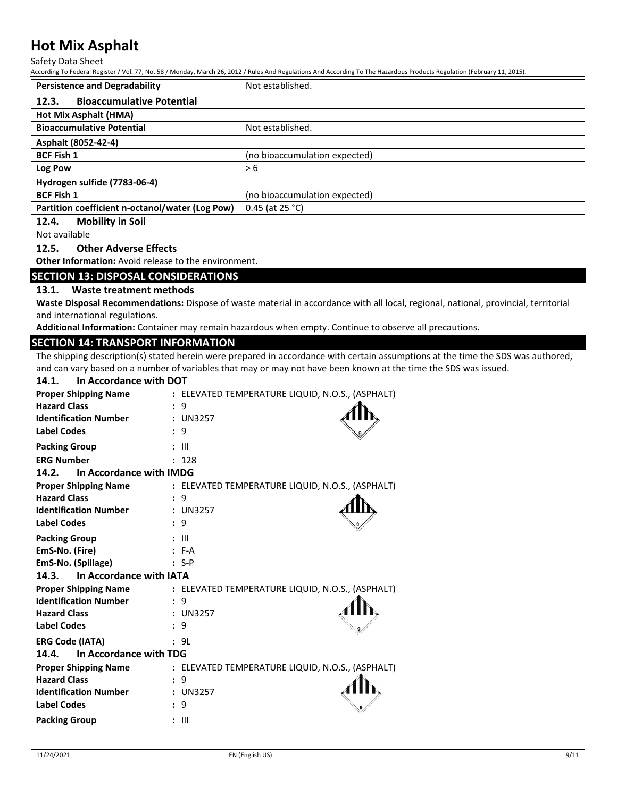Safety Data Sheet

According To Federal Register / Vol. 77, No. 58 / Monday, March 26, 2012 / Rules And Regulations And According To The Hazardous Products Regulation (February 11, 2015).

| <b>Persistence and Degradability</b>                 | Not established.              |  |
|------------------------------------------------------|-------------------------------|--|
| <b>Bioaccumulative Potential</b><br>12.3.            |                               |  |
| Hot Mix Asphalt (HMA)                                |                               |  |
| <b>Bioaccumulative Potential</b><br>Not established. |                               |  |
| Asphalt (8052-42-4)                                  |                               |  |
| <b>BCF Fish 1</b>                                    | (no bioaccumulation expected) |  |
| Log Pow                                              | > 6                           |  |
| Hydrogen sulfide (7783-06-4)                         |                               |  |
| <b>BCF Fish 1</b><br>(no bioaccumulation expected)   |                               |  |
| Partition coefficient n-octanol/water (Log Pow)      | 0.45 (at $25 °C$ )            |  |

# **12.4. Mobility in Soil**

Not available

# **12.5. Other Adverse Effects**

**Other Information:** Avoid release to the environment.

### **SECTION 13: DISPOSAL CONSIDERATIONS**

### **13.1. Waste treatment methods**

**Waste Disposal Recommendations:** Dispose of waste material in accordance with all local, regional, national, provincial, territorial and international regulations.

**Additional Information:** Container may remain hazardous when empty. Continue to observe all precautions.

### **SECTION 14: TRANSPORT INFORMATION**

The shipping description(s) stated herein were prepared in accordance with certain assumptions at the time the SDS was authored, and can vary based on a number of variables that may or may not have been known at the time the SDS was issued.

| 14.1.<br>In Accordance with DOT  |                                                  |  |
|----------------------------------|--------------------------------------------------|--|
| <b>Proper Shipping Name</b>      | : ELEVATED TEMPERATURE LIQUID, N.O.S., (ASPHALT) |  |
| <b>Hazard Class</b>              | 9                                                |  |
| <b>Identification Number</b>     | : UN3257                                         |  |
| <b>Label Codes</b>               | 9                                                |  |
| <b>Packing Group</b>             | Ш                                                |  |
| <b>ERG Number</b>                | : 128                                            |  |
| In Accordance with IMDG<br>14.2. |                                                  |  |
| <b>Proper Shipping Name</b>      | : ELEVATED TEMPERATURE LIQUID, N.O.S., (ASPHALT) |  |
| <b>Hazard Class</b>              | 9                                                |  |
| <b>Identification Number</b>     | : UN3257                                         |  |
| <b>Label Codes</b>               | 9                                                |  |
| <b>Packing Group</b>             | $\mathsf{III}$                                   |  |
| EmS-No. (Fire)                   | $: F-A$                                          |  |
| EmS-No. (Spillage)               | $: S-P$                                          |  |
| In Accordance with IATA<br>14.3. |                                                  |  |
| <b>Proper Shipping Name</b>      | : ELEVATED TEMPERATURE LIQUID, N.O.S., (ASPHALT) |  |
| <b>Identification Number</b>     | 9                                                |  |
| <b>Hazard Class</b>              | : UN3257                                         |  |
| <b>Label Codes</b>               | 9                                                |  |
| <b>ERG Code (IATA)</b>           | : 9L                                             |  |
| 14.4.<br>In Accordance with TDG  |                                                  |  |
| <b>Proper Shipping Name</b>      | : ELEVATED TEMPERATURE LIQUID, N.O.S., (ASPHALT) |  |
| <b>Hazard Class</b>              | 9                                                |  |
| <b>Identification Number</b>     | : UN3257                                         |  |
| <b>Label Codes</b>               | 9<br>$\mathbf{r}$                                |  |
| <b>Packing Group</b>             |                                                  |  |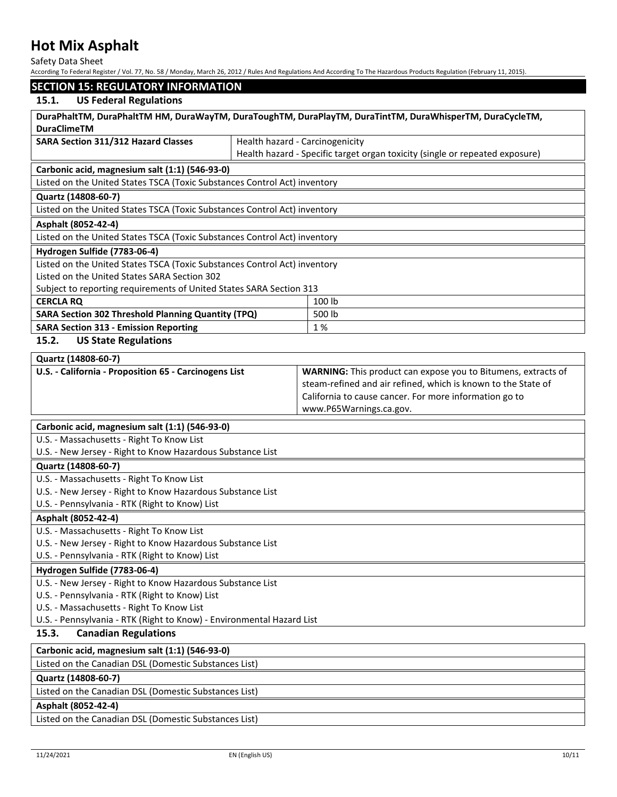Safety Data Sheet

| According To Federal Register / Vol. 77, No. 58 / Monday, March 26, 2012 / Rules And Regulations And According To The Hazardous Products Regulation (February 11, 2015). |  |
|--------------------------------------------------------------------------------------------------------------------------------------------------------------------------|--|
|                                                                                                                                                                          |  |

# **SECTION 15: REGULATORY INFORMATION**

#### **15.1. US Federal Regulations**

| 15.1.<br>US Federal Regulations                                                                                                |                                                                              |  |  |  |
|--------------------------------------------------------------------------------------------------------------------------------|------------------------------------------------------------------------------|--|--|--|
| DuraPhaltTM, DuraPhaltTM HM, DuraWayTM, DuraToughTM, DuraPlayTM, DuraTintTM, DuraWhisperTM, DuraCycleTM,<br><b>DuraClimeTM</b> |                                                                              |  |  |  |
| <b>SARA Section 311/312 Hazard Classes</b>                                                                                     | Health hazard - Carcinogenicity                                              |  |  |  |
|                                                                                                                                | Health hazard - Specific target organ toxicity (single or repeated exposure) |  |  |  |
| Carbonic acid, magnesium salt (1:1) (546-93-0)                                                                                 |                                                                              |  |  |  |
| Listed on the United States TSCA (Toxic Substances Control Act) inventory                                                      |                                                                              |  |  |  |
| Quartz (14808-60-7)                                                                                                            |                                                                              |  |  |  |
| Listed on the United States TSCA (Toxic Substances Control Act) inventory                                                      |                                                                              |  |  |  |
| Asphalt (8052-42-4)                                                                                                            |                                                                              |  |  |  |
| Listed on the United States TSCA (Toxic Substances Control Act) inventory                                                      |                                                                              |  |  |  |
| Hydrogen Sulfide (7783-06-4)                                                                                                   |                                                                              |  |  |  |
| Listed on the United States TSCA (Toxic Substances Control Act) inventory                                                      |                                                                              |  |  |  |
| Listed on the United States SARA Section 302                                                                                   |                                                                              |  |  |  |
| Subject to reporting requirements of United States SARA Section 313                                                            |                                                                              |  |  |  |
| <b>CERCLA RQ</b>                                                                                                               | 100 lb                                                                       |  |  |  |
| SARA Section 302 Threshold Planning Quantity (TPQ)                                                                             | 500 lb                                                                       |  |  |  |
| <b>SARA Section 313 - Emission Reporting</b>                                                                                   | 1%                                                                           |  |  |  |
| 15.2.<br><b>US State Regulations</b>                                                                                           |                                                                              |  |  |  |
| Quartz (14808-60-7)                                                                                                            |                                                                              |  |  |  |
| U.S. - California - Proposition 65 - Carcinogens List                                                                          | <b>WARNING:</b> This product can expose you to Bitumens, extracts of         |  |  |  |
|                                                                                                                                | steam-refined and air refined, which is known to the State of                |  |  |  |
|                                                                                                                                | California to cause cancer. For more information go to                       |  |  |  |
|                                                                                                                                | www.P65Warnings.ca.gov.                                                      |  |  |  |
| Carbonic acid, magnesium salt (1:1) (546-93-0)                                                                                 |                                                                              |  |  |  |
| U.S. - Massachusetts - Right To Know List                                                                                      |                                                                              |  |  |  |
| U.S. - New Jersey - Right to Know Hazardous Substance List                                                                     |                                                                              |  |  |  |
| Quartz (14808-60-7)                                                                                                            |                                                                              |  |  |  |
| U.S. - Massachusetts - Right To Know List                                                                                      |                                                                              |  |  |  |
| U.S. - New Jersey - Right to Know Hazardous Substance List                                                                     |                                                                              |  |  |  |
| U.S. - Pennsylvania - RTK (Right to Know) List                                                                                 |                                                                              |  |  |  |
| Asphalt (8052-42-4)                                                                                                            |                                                                              |  |  |  |
| U.S. - Massachusetts - Right To Know List                                                                                      |                                                                              |  |  |  |
| U.S. - New Jersey - Right to Know Hazardous Substance List                                                                     |                                                                              |  |  |  |
| U.S. - Pennsylvania - RTK (Right to Know) List                                                                                 |                                                                              |  |  |  |
| Hydrogen Sulfide (7783-06-4)                                                                                                   |                                                                              |  |  |  |
| U.S. - New Jersey - Right to Know Hazardous Substance List                                                                     |                                                                              |  |  |  |
| U.S. - Pennsylvania - RTK (Right to Know) List                                                                                 |                                                                              |  |  |  |
| U.S. - Massachusetts - Right To Know List                                                                                      |                                                                              |  |  |  |
| U.S. - Pennsylvania - RTK (Right to Know) - Environmental Hazard List                                                          |                                                                              |  |  |  |
| 15.3.<br><b>Canadian Regulations</b>                                                                                           |                                                                              |  |  |  |
| Carbonic acid, magnesium salt (1:1) (546-93-0)                                                                                 |                                                                              |  |  |  |
| Listed on the Canadian DSL (Domestic Substances List)                                                                          |                                                                              |  |  |  |
| Quartz (14808-60-7)                                                                                                            |                                                                              |  |  |  |
| Listed on the Canadian DSL (Domestic Substances List)                                                                          |                                                                              |  |  |  |

# **Asphalt (8052-42-4)**

Listed on the Canadian DSL (Domestic Substances List)